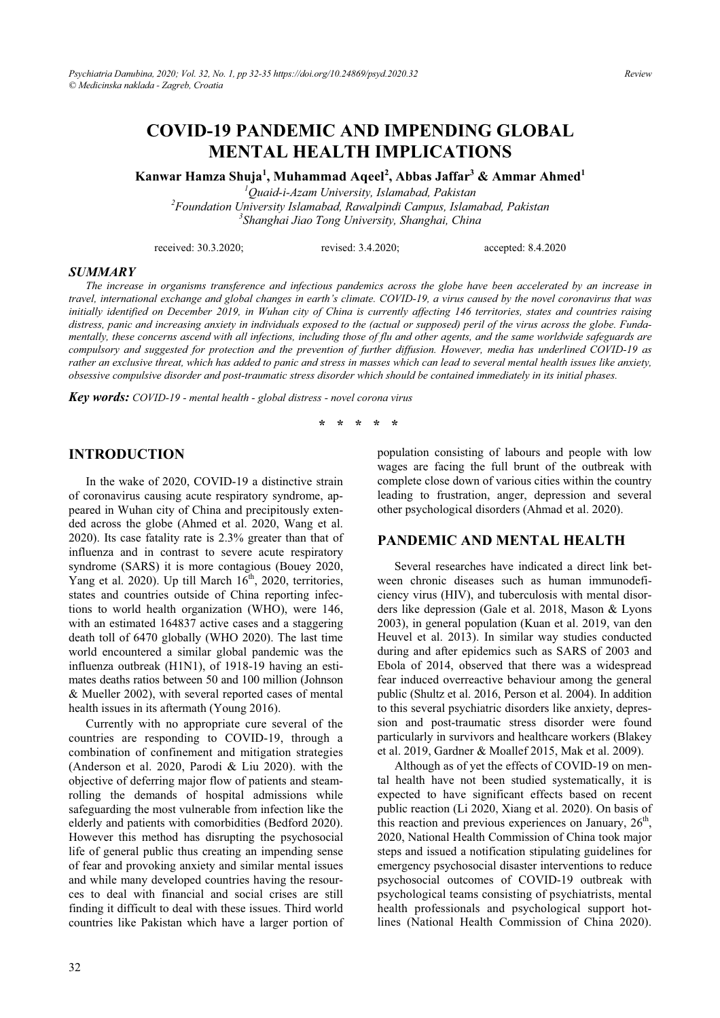# **COVID-19 PANDEMIC AND IMPENDING GLOBAL MENTAL HEALTH IMPLICATIONS**

**Kanwar Hamza Shuia<sup>1</sup>, Muhammad Aqeel<sup>2</sup>, Abbas Jaffar<sup>3</sup> & Ammar Ahmed<sup>1</sup>** 

<sup>1</sup>Quaid-i-Azam University, Islamabad, Pakistan *Quaid-i-Azam University, Islamabad, Pakistan 2 Foundation University Islamabad, Rawalpindi Campus, Islamabad, Pakistan 3 Shanghai Jiao Tong University, Shanghai, China* 

received: 30.3.2020; revised: 3.4.2020; accepted: 8.4.2020

#### *SUMMARY*

*The increase in organisms transference and infectious pandemics across the globe have been accelerated by an increase in travel, international exchange and global changes in earth's climate. COVID-19, a virus caused by the novel coronavirus that was initially identified on December 2019, in Wuhan city of China is currently affecting 146 territories, states and countries raising distress, panic and increasing anxiety in individuals exposed to the (actual or supposed) peril of the virus across the globe. Fundamentally, these concerns ascend with all infections, including those of flu and other agents, and the same worldwide safeguards are compulsory and suggested for protection and the prevention of further diffusion. However, media has underlined COVID-19 as rather an exclusive threat, which has added to panic and stress in masses which can lead to several mental health issues like anxiety, obsessive compulsive disorder and post-traumatic stress disorder which should be contained immediately in its initial phases.* 

*Key words: COVID-19 - mental health - global distress - novel corona virus* 

**\* \* \* \* \*** 

#### **INTRODUCTION**

In the wake of 2020, COVID-19 a distinctive strain of coronavirus causing acute respiratory syndrome, appeared in Wuhan city of China and precipitously extended across the globe (Ahmed et al. 2020, Wang et al. 2020). Its case fatality rate is 2.3% greater than that of influenza and in contrast to severe acute respiratory syndrome (SARS) it is more contagious (Bouey 2020, Yang et al. 2020). Up till March  $16<sup>th</sup>$ , 2020, territories, states and countries outside of China reporting infections to world health organization (WHO), were 146, with an estimated 164837 active cases and a staggering death toll of 6470 globally (WHO 2020). The last time world encountered a similar global pandemic was the influenza outbreak (H1N1), of 1918-19 having an estimates deaths ratios between 50 and 100 million (Johnson & Mueller 2002), with several reported cases of mental health issues in its aftermath (Young 2016).

Currently with no appropriate cure several of the countries are responding to COVID-19, through a combination of confinement and mitigation strategies (Anderson et al. 2020, Parodi & Liu 2020). with the objective of deferring major flow of patients and steamrolling the demands of hospital admissions while safeguarding the most vulnerable from infection like the elderly and patients with comorbidities (Bedford 2020). However this method has disrupting the psychosocial life of general public thus creating an impending sense of fear and provoking anxiety and similar mental issues and while many developed countries having the resources to deal with financial and social crises are still finding it difficult to deal with these issues. Third world countries like Pakistan which have a larger portion of population consisting of labours and people with low wages are facing the full brunt of the outbreak with complete close down of various cities within the country leading to frustration, anger, depression and several other psychological disorders (Ahmad et al. 2020).

#### **PANDEMIC AND MENTAL HEALTH**

Several researches have indicated a direct link between chronic diseases such as human immunodeficiency virus (HIV), and tuberculosis with mental disorders like depression (Gale et al. 2018, Mason & Lyons 2003), in general population (Kuan et al. 2019, van den Heuvel et al. 2013). In similar way studies conducted during and after epidemics such as SARS of 2003 and Ebola of 2014, observed that there was a widespread fear induced overreactive behaviour among the general public (Shultz et al. 2016, Person et al. 2004). In addition to this several psychiatric disorders like anxiety, depression and post-traumatic stress disorder were found particularly in survivors and healthcare workers (Blakey et al. 2019, Gardner & Moallef 2015, Mak et al. 2009).

Although as of yet the effects of COVID-19 on mental health have not been studied systematically, it is expected to have significant effects based on recent public reaction (Li 2020, Xiang et al. 2020). On basis of this reaction and previous experiences on January,  $26<sup>th</sup>$ , 2020, National Health Commission of China took major steps and issued a notification stipulating guidelines for emergency psychosocial disaster interventions to reduce psychosocial outcomes of COVID-19 outbreak with psychological teams consisting of psychiatrists, mental health professionals and psychological support hotlines (National Health Commission of China 2020).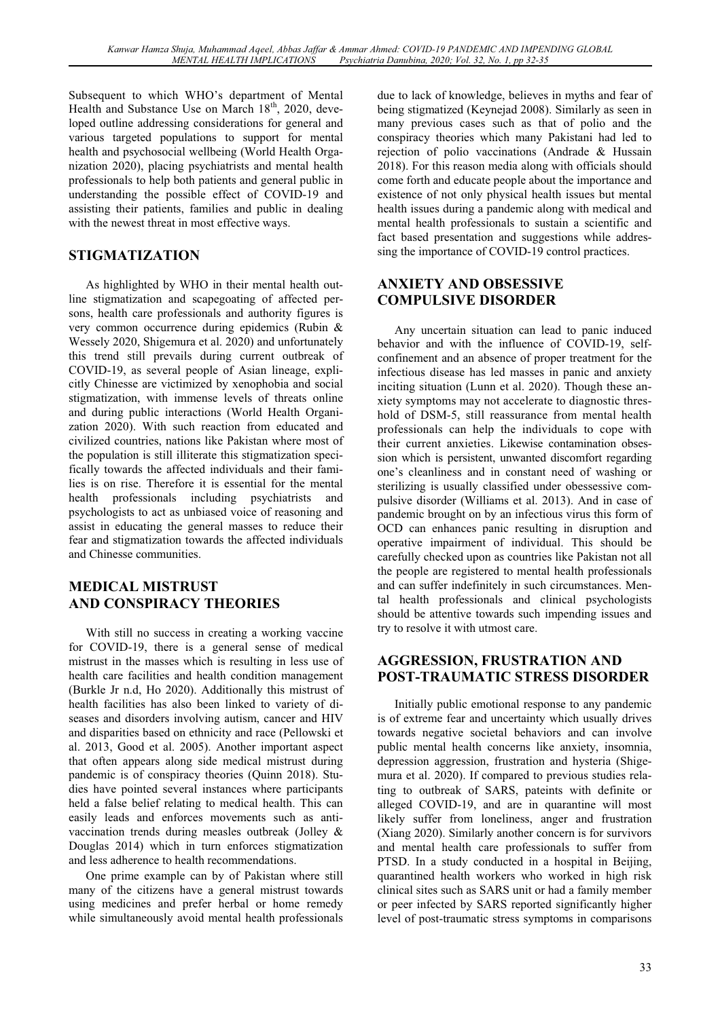Subsequent to which WHO's department of Mental Health and Substance Use on March  $18<sup>th</sup>$ , 2020, developed outline addressing considerations for general and various targeted populations to support for mental health and psychosocial wellbeing (World Health Organization 2020), placing psychiatrists and mental health professionals to help both patients and general public in understanding the possible effect of COVID-19 and assisting their patients, families and public in dealing with the newest threat in most effective ways.

## **STIGMATIZATION**

As highlighted by WHO in their mental health outline stigmatization and scapegoating of affected persons, health care professionals and authority figures is very common occurrence during epidemics (Rubin & Wessely 2020, Shigemura et al. 2020) and unfortunately this trend still prevails during current outbreak of COVID-19, as several people of Asian lineage, explicitly Chinesse are victimized by xenophobia and social stigmatization, with immense levels of threats online and during public interactions (World Health Organization 2020). With such reaction from educated and civilized countries, nations like Pakistan where most of the population is still illiterate this stigmatization specifically towards the affected individuals and their families is on rise. Therefore it is essential for the mental health professionals including psychiatrists and psychologists to act as unbiased voice of reasoning and assist in educating the general masses to reduce their fear and stigmatization towards the affected individuals and Chinesse communities.

## **MEDICAL MISTRUST AND CONSPIRACY THEORIES**

With still no success in creating a working vaccine for COVID-19, there is a general sense of medical mistrust in the masses which is resulting in less use of health care facilities and health condition management (Burkle Jr n.d, Ho 2020). Additionally this mistrust of health facilities has also been linked to variety of diseases and disorders involving autism, cancer and HIV and disparities based on ethnicity and race (Pellowski et al. 2013, Good et al. 2005). Another important aspect that often appears along side medical mistrust during pandemic is of conspiracy theories (Quinn 2018). Studies have pointed several instances where participants held a false belief relating to medical health. This can easily leads and enforces movements such as antivaccination trends during measles outbreak (Jolley & Douglas 2014) which in turn enforces stigmatization and less adherence to health recommendations.

One prime example can by of Pakistan where still many of the citizens have a general mistrust towards using medicines and prefer herbal or home remedy while simultaneously avoid mental health professionals due to lack of knowledge, believes in myths and fear of being stigmatized (Keynejad 2008). Similarly as seen in many previous cases such as that of polio and the conspiracy theories which many Pakistani had led to rejection of polio vaccinations (Andrade & Hussain 2018). For this reason media along with officials should come forth and educate people about the importance and existence of not only physical health issues but mental health issues during a pandemic along with medical and mental health professionals to sustain a scientific and fact based presentation and suggestions while addressing the importance of COVID-19 control practices.

#### **ANXIETY AND OBSESSIVE COMPULSIVE DISORDER**

Any uncertain situation can lead to panic induced behavior and with the influence of COVID-19, selfconfinement and an absence of proper treatment for the infectious disease has led masses in panic and anxiety inciting situation (Lunn et al. 2020). Though these anxiety symptoms may not accelerate to diagnostic threshold of DSM-5, still reassurance from mental health professionals can help the individuals to cope with their current anxieties. Likewise contamination obsession which is persistent, unwanted discomfort regarding one's cleanliness and in constant need of washing or sterilizing is usually classified under obessessive compulsive disorder (Williams et al. 2013). And in case of pandemic brought on by an infectious virus this form of OCD can enhances panic resulting in disruption and operative impairment of individual. This should be carefully checked upon as countries like Pakistan not all the people are registered to mental health professionals and can suffer indefinitely in such circumstances. Mental health professionals and clinical psychologists should be attentive towards such impending issues and try to resolve it with utmost care.

#### **AGGRESSION, FRUSTRATION AND POST-TRAUMATIC STRESS DISORDER**

Initially public emotional response to any pandemic is of extreme fear and uncertainty which usually drives towards negative societal behaviors and can involve public mental health concerns like anxiety, insomnia, depression aggression, frustration and hysteria (Shigemura et al. 2020). If compared to previous studies relating to outbreak of SARS, pateints with definite or alleged COVID-19, and are in quarantine will most likely suffer from loneliness, anger and frustration (Xiang 2020). Similarly another concern is for survivors and mental health care professionals to suffer from PTSD. In a study conducted in a hospital in Beijing, quarantined health workers who worked in high risk clinical sites such as SARS unit or had a family member or peer infected by SARS reported significantly higher level of post-traumatic stress symptoms in comparisons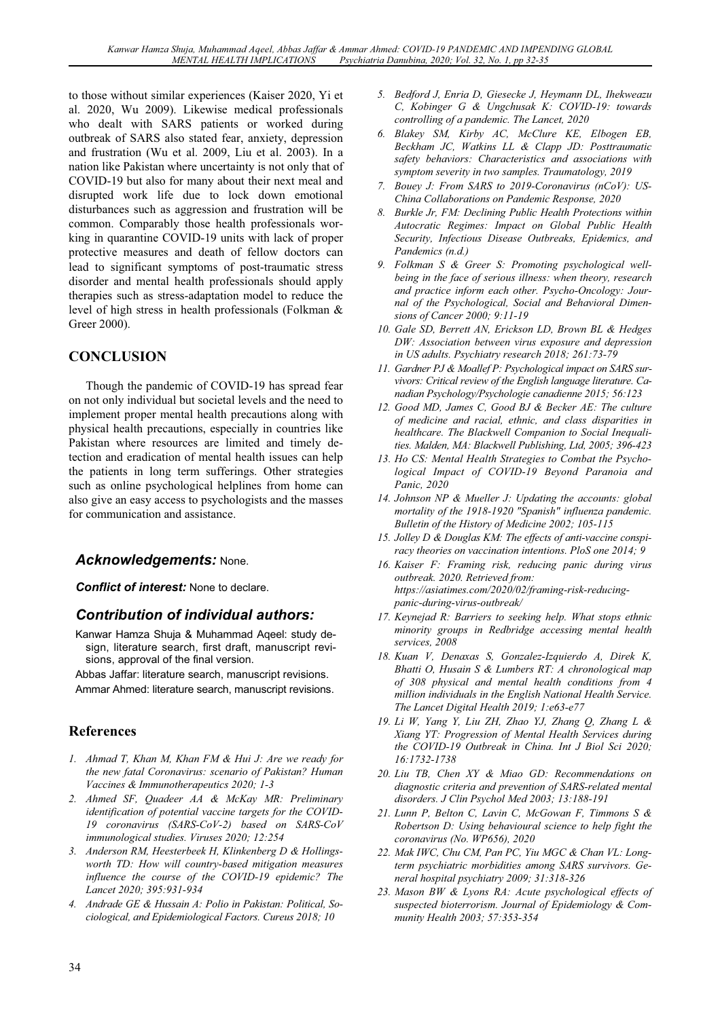to those without similar experiences (Kaiser 2020, Yi et al. 2020, Wu 2009). Likewise medical professionals who dealt with SARS patients or worked during outbreak of SARS also stated fear, anxiety, depression and frustration (Wu et al. 2009, Liu et al. 2003). In a nation like Pakistan where uncertainty is not only that of COVID-19 but also for many about their next meal and disrupted work life due to lock down emotional disturbances such as aggression and frustration will be common. Comparably those health professionals working in quarantine COVID-19 units with lack of proper protective measures and death of fellow doctors can lead to significant symptoms of post-traumatic stress disorder and mental health professionals should apply therapies such as stress-adaptation model to reduce the level of high stress in health professionals (Folkman & Greer 2000).

## **CONCLUSION**

Though the pandemic of COVID-19 has spread fear on not only individual but societal levels and the need to implement proper mental health precautions along with physical health precautions, especially in countries like Pakistan where resources are limited and timely detection and eradication of mental health issues can help the patients in long term sufferings. Other strategies such as online psychological helplines from home can also give an easy access to psychologists and the masses for communication and assistance.

#### *Acknowledgements:* None.

*Conflict of interest:* None to declare.

#### *Contribution of individual authors:*

- Kanwar Hamza Shuja & Muhammad Aqeel: study design, literature search, first draft, manuscript revisions, approval of the final version.
- Abbas Jaffar: literature search, manuscript revisions. Ammar Ahmed: literature search, manuscript revisions.

#### **References**

- *1. Ahmad T, Khan M, Khan FM & Hui J: Are we ready for the new fatal Coronavirus: scenario of Pakistan? Human Vaccines & Immunotherapeutics 2020; 1-3*
- *2. Ahmed SF, Quadeer AA & McKay MR: Preliminary identification of potential vaccine targets for the COVID-19 coronavirus (SARS-CoV-2) based on SARS-CoV immunological studies. Viruses 2020; 12:254*
- *3. Anderson RM, Heesterbeek H, Klinkenberg D & Hollingsworth TD: How will country-based mitigation measures influence the course of the COVID-19 epidemic? The Lancet 2020; 395:931-934*
- *4. Andrade GE & Hussain A: Polio in Pakistan: Political, Sociological, and Epidemiological Factors. Cureus 2018; 10*
- *5. Bedford J, Enria D, Giesecke J, Heymann DL, Ihekweazu C, Kobinger G & Ungchusak K: COVID-19: towards controlling of a pandemic. The Lancet, 2020*
- *6. Blakey SM, Kirby AC, McClure KE, Elbogen EB, Beckham JC, Watkins LL & Clapp JD: Posttraumatic safety behaviors: Characteristics and associations with symptom severity in two samples. Traumatology, 2019*
- *7. Bouey J: From SARS to 2019-Coronavirus (nCoV): US-China Collaborations on Pandemic Response, 2020*
- *8. Burkle Jr, FM: Declining Public Health Protections within Autocratic Regimes: Impact on Global Public Health Security, Infectious Disease Outbreaks, Epidemics, and Pandemics (n.d.)*
- *9. Folkman S & Greer S: Promoting psychological wellbeing in the face of serious illness: when theory, research and practice inform each other. Psycho-Oncology: Journal of the Psychological, Social and Behavioral Dimensions of Cancer 2000; 9:11-19*
- *10. Gale SD, Berrett AN, Erickson LD, Brown BL & Hedges DW: Association between virus exposure and depression in US adults. Psychiatry research 2018; 261:73-79*
- *11. Gardner PJ & Moallef P: Psychological impact on SARS survivors: Critical review of the English language literature. Canadian Psychology/Psychologie canadienne 2015; 56:123*
- *12. Good MD, James C, Good BJ & Becker AE: The culture of medicine and racial, ethnic, and class disparities in healthcare. The Blackwell Companion to Social Inequalities. Malden, MA: Blackwell Publishing, Ltd, 2005; 396-423*
- *13. Ho CS: Mental Health Strategies to Combat the Psychological Impact of COVID-19 Beyond Paranoia and Panic, 2020*
- *14. Johnson NP & Mueller J: Updating the accounts: global mortality of the 1918-1920 "Spanish" influenza pandemic. Bulletin of the History of Medicine 2002; 105-115*
- *15. Jolley D & Douglas KM: The effects of anti-vaccine conspiracy theories on vaccination intentions. PloS one 2014; 9*
- *16. Kaiser F: Framing risk, reducing panic during virus outbreak. 2020. Retrieved from: https://asiatimes.com/2020/02/framing-risk-reducingpanic-during-virus-outbreak/*
- *17. Keynejad R: Barriers to seeking help. What stops ethnic minority groups in Redbridge accessing mental health services, 2008*
- *18. Kuan V, Denaxas S, Gonzalez-Izquierdo A, Direk K, Bhatti O, Husain S & Lumbers RT: A chronological map of 308 physical and mental health conditions from 4 million individuals in the English National Health Service. The Lancet Digital Health 2019; 1:e63-e77*
- *19. Li W, Yang Y, Liu ZH, Zhao YJ, Zhang Q, Zhang L & Xiang YT: Progression of Mental Health Services during the COVID-19 Outbreak in China. Int J Biol Sci 2020; 16:1732-1738*
- *20. Liu TB, Chen XY & Miao GD: Recommendations on diagnostic criteria and prevention of SARS-related mental disorders. J Clin Psychol Med 2003; 13:188-191*
- *21. Lunn P, Belton C, Lavin C, McGowan F, Timmons S & Robertson D: Using behavioural science to help fight the coronavirus (No. WP656), 2020*
- *22. Mak IWC, Chu CM, Pan PC, Yiu MGC & Chan VL: Longterm psychiatric morbidities among SARS survivors. General hospital psychiatry 2009; 31:318-326*
- *23. Mason BW & Lyons RA: Acute psychological effects of suspected bioterrorism. Journal of Epidemiology & Community Health 2003; 57:353-354*